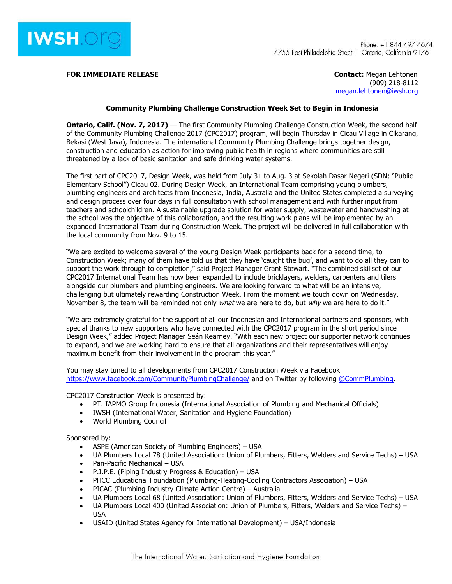

**FOR IMMEDIATE RELEASE CONTACTE ASSESSMENT ASSESSMENT AND RELEASE CONTACTE CONTACT:** Megan Lehtonen

(909) 218-8112 [megan.lehtonen@iwsh.org](mailto:megan.lehtonen@iwsh.org)

## **Community Plumbing Challenge Construction Week Set to Begin in Indonesia**

**Ontario, Calif. (Nov. 7, 2017)** — The first Community Plumbing Challenge Construction Week, the second half of the Community Plumbing Challenge 2017 (CPC2017) program, will begin Thursday in Cicau Village in Cikarang, Bekasi (West Java), Indonesia. The international Community Plumbing Challenge brings together design, construction and education as action for improving public health in regions where communities are still threatened by a lack of basic sanitation and safe drinking water systems.

The first part of CPC2017, Design Week, was held from July 31 to Aug. 3 at Sekolah Dasar Negeri (SDN; "Public Elementary School") Cicau 02. During Design Week, an International Team comprising young plumbers, plumbing engineers and architects from Indonesia, India, Australia and the United States completed a surveying and design process over four days in full consultation with school management and with further input from teachers and schoolchildren. A sustainable upgrade solution for water supply, wastewater and handwashing at the school was the objective of this collaboration, and the resulting work plans will be implemented by an expanded International Team during Construction Week. The project will be delivered in full collaboration with the local community from Nov. 9 to 15.

"We are excited to welcome several of the young Design Week participants back for a second time, to Construction Week; many of them have told us that they have 'caught the bug', and want to do all they can to support the work through to completion," said Project Manager Grant Stewart. "The combined skillset of our CPC2017 International Team has now been expanded to include bricklayers, welders, carpenters and tilers alongside our plumbers and plumbing engineers. We are looking forward to what will be an intensive, challenging but ultimately rewarding Construction Week. From the moment we touch down on Wednesday, November 8, the team will be reminded not only what we are here to do, but why we are here to do it."

"We are extremely grateful for the support of all our Indonesian and International partners and sponsors, with special thanks to new supporters who have connected with the CPC2017 program in the short period since Design Week," added Project Manager Seán Kearney. "With each new project our supporter network continues to expand, and we are working hard to ensure that all organizations and their representatives will enjoy maximum benefit from their involvement in the program this year."

You may stay tuned to all developments from CPC2017 Construction Week via Facebook <https://www.facebook.com/CommunityPlumbingChallenge/> and on Twitter by following [@CommPlumbing](https://twitter.com/CommPlumbing).

CPC2017 Construction Week is presented by:

- PT. IAPMO Group Indonesia (International Association of Plumbing and Mechanical Officials)
- IWSH (International Water, Sanitation and Hygiene Foundation)
- World Plumbing Council

Sponsored by:

- ASPE (American Society of Plumbing Engineers) USA
- UA Plumbers Local 78 (United Association: Union of Plumbers, Fitters, Welders and Service Techs) USA
- Pan-Pacific Mechanical USA
- P.I.P.E. (Piping Industry Progress & Education) USA
- PHCC Educational Foundation (Plumbing-Heating-Cooling Contractors Association) USA
- PICAC (Plumbing Industry Climate Action Centre) Australia
- UA Plumbers Local 68 (United Association: Union of Plumbers, Fitters, Welders and Service Techs) USA
- UA Plumbers Local 400 (United Association: Union of Plumbers, Fitters, Welders and Service Techs) USA
- USAID (United States Agency for International Development) USA/Indonesia